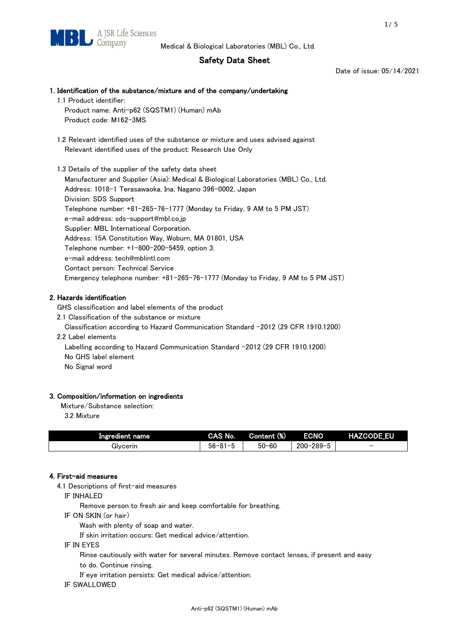# Safety Data Sheet

Date of issue: 05/14/2021

# 1. Identification of the substance/mixture and of the company/undertaking 1.1 Product identifier: Product name: Anti-p62 (SQSTM1) (Human) mAb Product code: M162-3MS 1.2 Relevant identified uses of the substance or mixture and uses advised against Relevant identified uses of the product: Research Use Only 1.3 Details of the supplier of the safety data sheet Manufacturer and Supplier (Asia): Medical & Biological Laboratories (MBL) Co., Ltd. Address: 1018-1 Terasawaoka, Ina, Nagano 396-0002, Japan Division: SDS Support Telephone number: +81-265-76-1777 (Monday to Friday, 9 AM to 5 PM JST) e-mail address: sds-support@mbl.co.jp Supplier: MBL International Corporation. Address: 15A Constitution Way, Woburn, MA 01801, USA Telephone number: +1-800-200-5459, option 3. e-mail address: tech@mblintl.com Contact person: Technical Service Emergency telephone number: +81-265-76-1777 (Monday to Friday, 9 AM to 5 PM JST)

# 2. Hazards identification

GHS classification and label elements of the product

2.1 Classification of the substance or mixture

Classification according to Hazard Communication Standard -2012 (29 CFR 1910.1200)

2.2 Label elements

Labelling according to Hazard Communication Standard -2012 (29 CFR 1910.1200) No GHS label element

No Signal word

## 3. Composition/information on ingredients

Mixture/Substance selection:

3.2 Mixture

| Ingredient name | CAS No.             | Content (%) | <b>ECNO</b>                                              | <b>HAZCODE_EU</b>        |
|-----------------|---------------------|-------------|----------------------------------------------------------|--------------------------|
| Glvcerin        | $56 - 81 -$<br>ິບ ເ | $50 - 60$   | $-289 - 1$<br>$200 - 2$<br>$\overline{\phantom{0}}$<br>v | $\overline{\phantom{0}}$ |

## 4. First-aid measures

4.1 Descriptions of first-aid measures

IF INHALED

Remove person to fresh air and keep comfortable for breathing.

IF ON SKIN (or hair)

Wash with plenty of soap and water.

If skin irritation occurs: Get medical advice/attention.

IF IN EYES

Rinse cautiously with water for several minutes. Remove contact lenses, if present and easy

to do. Continue rinsing.

If eye irritation persists: Get medical advice/attention.

IF SWALLOWED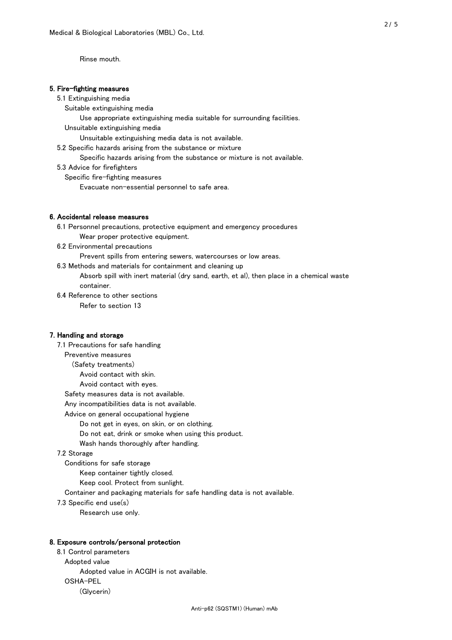Rinse mouth.

## 5. Fire-fighting measures

#### 5.1 Extinguishing media

Suitable extinguishing media

- Use appropriate extinguishing media suitable for surrounding facilities.
- Unsuitable extinguishing media

Unsuitable extinguishing media data is not available.

5.2 Specific hazards arising from the substance or mixture

Specific hazards arising from the substance or mixture is not available.

5.3 Advice for firefighters

Specific fire-fighting measures

Evacuate non-essential personnel to safe area.

### 6. Accidental release measures

- 6.1 Personnel precautions, protective equipment and emergency procedures Wear proper protective equipment.
- 6.2 Environmental precautions

Prevent spills from entering sewers, watercourses or low areas.

6.3 Methods and materials for containment and cleaning up

- Absorb spill with inert material (dry sand, earth, et al), then place in a chemical waste container.
- 6.4 Reference to other sections

Refer to section 13

## 7. Handling and storage

 7.1 Precautions for safe handling Preventive measures (Safety treatments) Avoid contact with skin. Avoid contact with eyes. Safety measures data is not available. Any incompatibilities data is not available. Advice on general occupational hygiene Do not get in eyes, on skin, or on clothing. Do not eat, drink or smoke when using this product. Wash hands thoroughly after handling. 7.2 Storage Conditions for safe storage Keep container tightly closed.

Keep cool. Protect from sunlight.

Container and packaging materials for safe handling data is not available.

7.3 Specific end use(s)

Research use only.

#### 8. Exposure controls/personal protection

 8.1 Control parameters Adopted value Adopted value in ACGIH is not available. OSHA-PEL (Glycerin)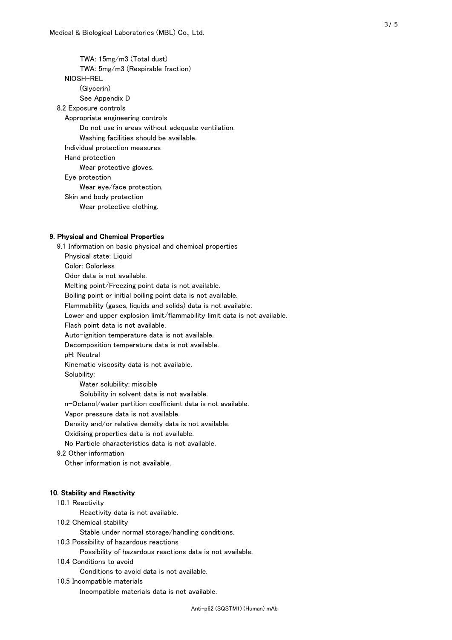TWA: 15mg/m3 (Total dust) TWA: 5mg/m3 (Respirable fraction) NIOSH-REL (Glycerin) See Appendix D 8.2 Exposure controls Appropriate engineering controls Do not use in areas without adequate ventilation. Washing facilities should be available. Individual protection measures Hand protection Wear protective gloves. Eye protection Wear eye/face protection. Skin and body protection Wear protective clothing.

## 9. Physical and Chemical Properties

 9.1 Information on basic physical and chemical properties Physical state: Liquid Color: Colorless Odor data is not available. Melting point/Freezing point data is not available. Boiling point or initial boiling point data is not available. Flammability (gases, liquids and solids) data is not available. Lower and upper explosion limit/flammability limit data is not available. Flash point data is not available. Auto-ignition temperature data is not available. Decomposition temperature data is not available. pH: Neutral Kinematic viscosity data is not available. Solubility: Water solubility: miscible Solubility in solvent data is not available. n-Octanol/water partition coefficient data is not available. Vapor pressure data is not available. Density and/or relative density data is not available. Oxidising properties data is not available. No Particle characteristics data is not available. 9.2 Other information Other information is not available. 10. Stability and Reactivity 10.1 Reactivity Reactivity data is not available. 10.2 Chemical stability Stable under normal storage/handling conditions.

10.3 Possibility of hazardous reactions

Possibility of hazardous reactions data is not available.

10.4 Conditions to avoid

Conditions to avoid data is not available.

#### 10.5 Incompatible materials

Incompatible materials data is not available.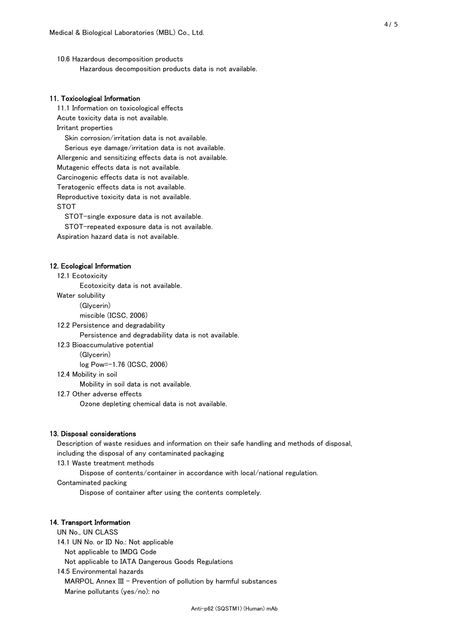10.6 Hazardous decomposition products Hazardous decomposition products data is not available.

## 11. Toxicological Information

 11.1 Information on toxicological effects Acute toxicity data is not available. Irritant properties Skin corrosion/irritation data is not available. Serious eye damage/irritation data is not available. Allergenic and sensitizing effects data is not available. Mutagenic effects data is not available. Carcinogenic effects data is not available. Teratogenic effects data is not available. Reproductive toxicity data is not available. STOT

STOT-single exposure data is not available.

STOT-repeated exposure data is not available.

Aspiration hazard data is not available.

#### 12. Ecological Information

12.1 Ecotoxicity

Ecotoxicity data is not available.

Water solubility

(Glycerin)

miscible (ICSC, 2006)

12.2 Persistence and degradability

Persistence and degradability data is not available.

12.3 Bioaccumulative potential

(Glycerin)

log Pow=-1.76 (ICSC, 2006)

12.4 Mobility in soil

Mobility in soil data is not available.

12.7 Other adverse effects

Ozone depleting chemical data is not available.

#### 13. Disposal considerations

 Description of waste residues and information on their safe handling and methods of disposal, including the disposal of any contaminated packaging

13.1 Waste treatment methods

Dispose of contents/container in accordance with local/national regulation.

Contaminated packing

Dispose of container after using the contents completely.

#### 14. Transport Information

 UN No., UN CLASS 14.1 UN No. or ID No.: Not applicable Not applicable to IMDG Code

Not applicable to IATA Dangerous Goods Regulations

 14.5 Environmental hazards MARPOL Annex III - Prevention of pollution by harmful substances Marine pollutants (yes/no): no